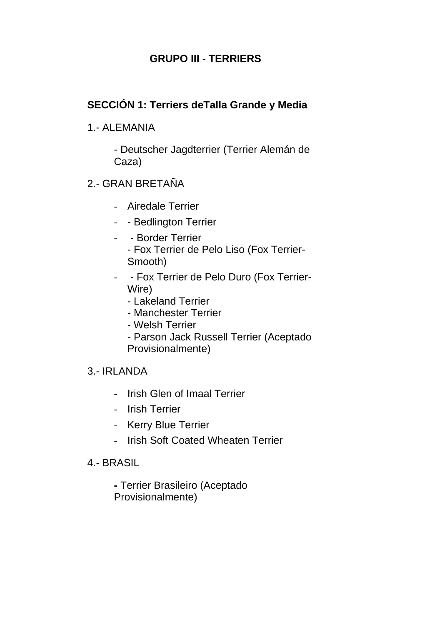## **GRUPO III - TERRIERS**

#### **SECCIÓN 1: Terriers deTalla Grande y Media**

#### 1.- ALEMANIA

- Deutscher Jagdterrier (Terrier Alemán de Caza)

#### 2.- GRAN BRETAÑA

- Airedale Terrier
- - Bedlington Terrier
- - Border Terrier - Fox Terrier de Pelo Liso (Fox Terrier-Smooth)
- - Fox Terrier de Pelo Duro (Fox Terrier-Wire)
	- Lakeland Terrier
	- Manchester Terrier
	- Welsh Terrier
	- Parson Jack Russell Terrier (Aceptado Provisionalmente)

#### 3.- IRLANDA

- Irish Glen of Imaal Terrier
- Irish Terrier
- Kerry Blue Terrier
- Irish Soft Coated Wheaten Terrier
- 4.- BRASIL

**-** Terrier Brasileiro (Aceptado Provisionalmente)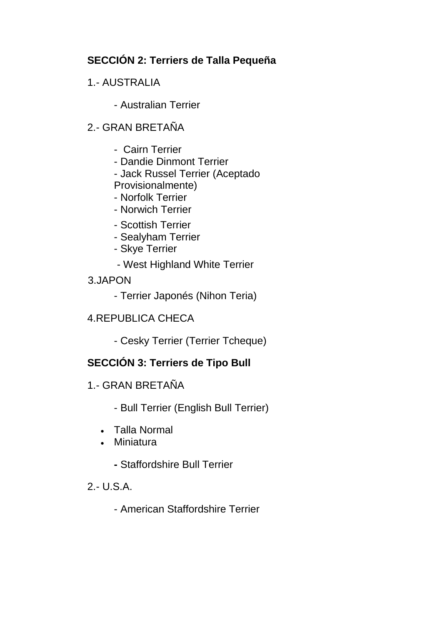## **SECCIÓN 2: Terriers de Talla Pequeña**

## 1.- AUSTRALIA

- Australian Terrier

## 2.- GRAN BRETAÑA

- Cairn Terrier
- Dandie Dinmont Terrier
- Jack Russel Terrier (Aceptado

Provisionalmente)

- Norfolk Terrier
- Norwich Terrier
- Scottish Terrier
- Sealyham Terrier
- Skye Terrier
- West Highland White Terrier
- 3.JAPON
	- Terrier Japonés (Nihon Teria)
- 4.REPUBLICA CHECA
	- Cesky Terrier (Terrier Tcheque)

## **SECCIÓN 3: Terriers de Tipo Bull**

- 1.- GRAN BRETAÑA
	- Bull Terrier (English Bull Terrier)
	- Talla Normal
	- Miniatura
		- **-** Staffordshire Bull Terrier

#### 2.- U.S.A.

- American Staffordshire Terrier